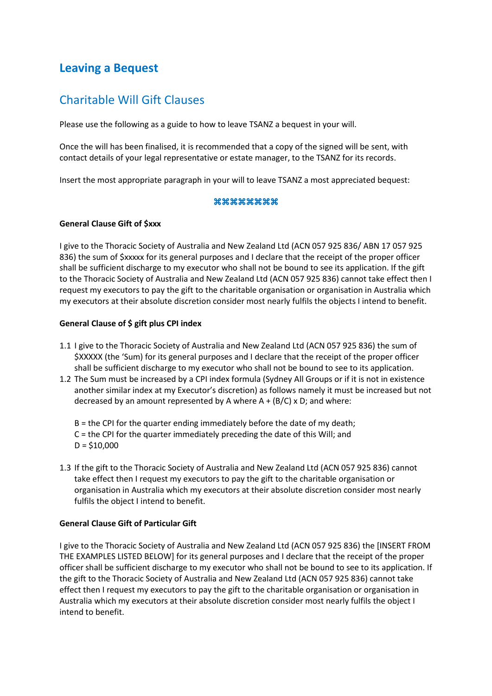# **Leaving a Bequest**

# Charitable Will Gift Clauses

Please use the following as a guide to how to leave TSANZ a bequest in your will.

Once the will has been finalised, it is recommended that a copy of the signed will be sent, with contact details of your legal representative or estate manager, to the TSANZ for its records.

Insert the most appropriate paragraph in your will to leave TSANZ a most appreciated bequest:

# $88888888888$

# **General Clause Gift of \$xxx**

I give to the Thoracic Society of Australia and New Zealand Ltd (ACN 057 925 836/ ABN 17 057 925 836) the sum of \$xxxxx for its general purposes and I declare that the receipt of the proper officer shall be sufficient discharge to my executor who shall not be bound to see its application. If the gift to the Thoracic Society of Australia and New Zealand Ltd (ACN 057 925 836) cannot take effect then I request my executors to pay the gift to the charitable organisation or organisation in Australia which my executors at their absolute discretion consider most nearly fulfils the objects I intend to benefit.

# **General Clause of \$ gift plus CPI index**

- 1.1 I give to the Thoracic Society of Australia and New Zealand Ltd (ACN 057 925 836) the sum of \$XXXXX (the 'Sum) for its general purposes and I declare that the receipt of the proper officer shall be sufficient discharge to my executor who shall not be bound to see to its application.
- 1.2 The Sum must be increased by a CPI index formula (Sydney All Groups or if it is not in existence another similar index at my Executor's discretion) as follows namely it must be increased but not decreased by an amount represented by A where  $A + (B/C)$  x D; and where:
	- B = the CPI for the quarter ending immediately before the date of my death;
	- C = the CPI for the quarter immediately preceding the date of this Will; and
	- $D = $10,000$
- 1.3 If the gift to the Thoracic Society of Australia and New Zealand Ltd (ACN 057 925 836) cannot take effect then I request my executors to pay the gift to the charitable organisation or organisation in Australia which my executors at their absolute discretion consider most nearly fulfils the object I intend to benefit.

#### **General Clause Gift of Particular Gift**

I give to the Thoracic Society of Australia and New Zealand Ltd (ACN 057 925 836) the [INSERT FROM THE EXAMPLES LISTED BELOW] for its general purposes and I declare that the receipt of the proper officer shall be sufficient discharge to my executor who shall not be bound to see to its application. If the gift to the Thoracic Society of Australia and New Zealand Ltd (ACN 057 925 836) cannot take effect then I request my executors to pay the gift to the charitable organisation or organisation in Australia which my executors at their absolute discretion consider most nearly fulfils the object I intend to benefit.